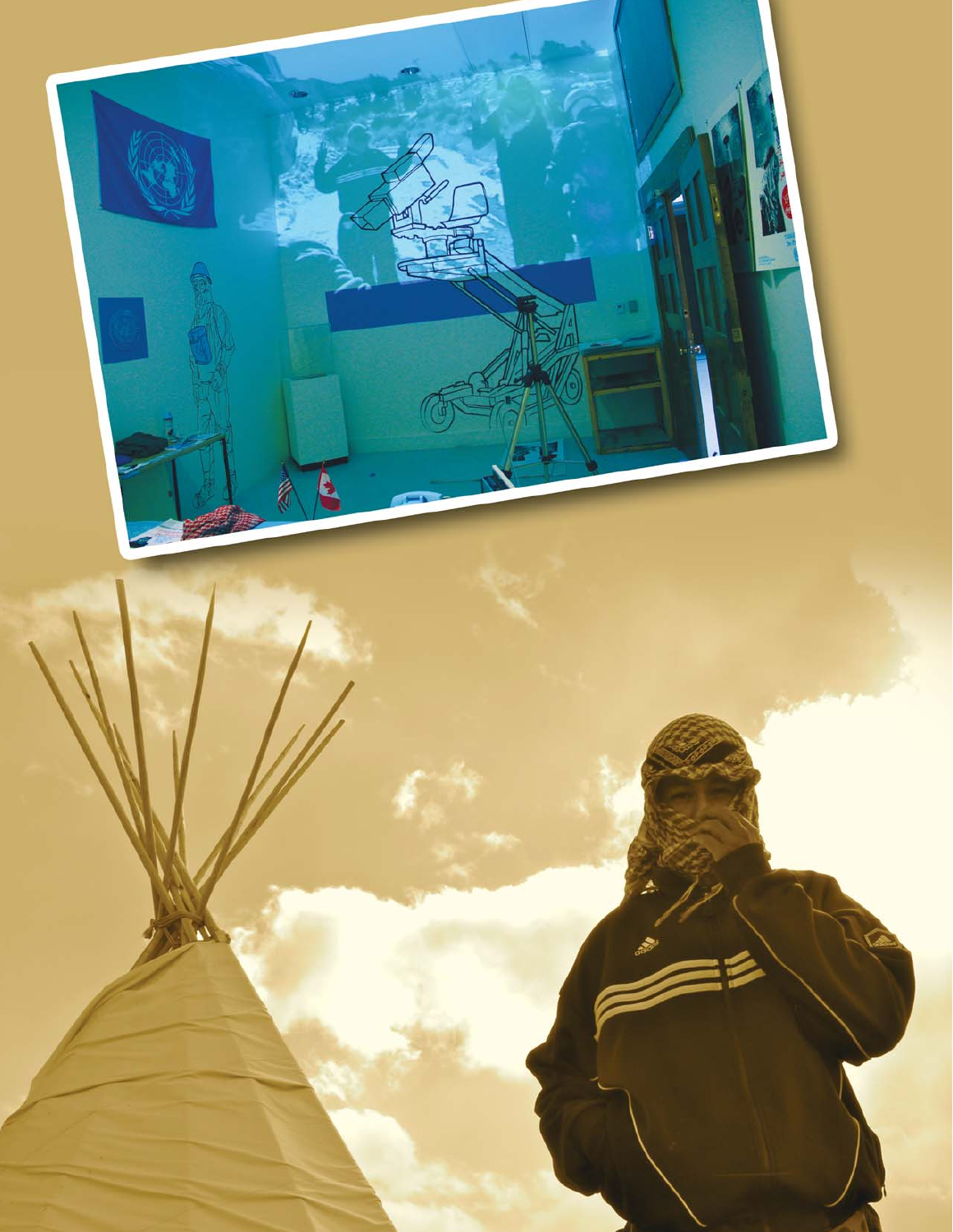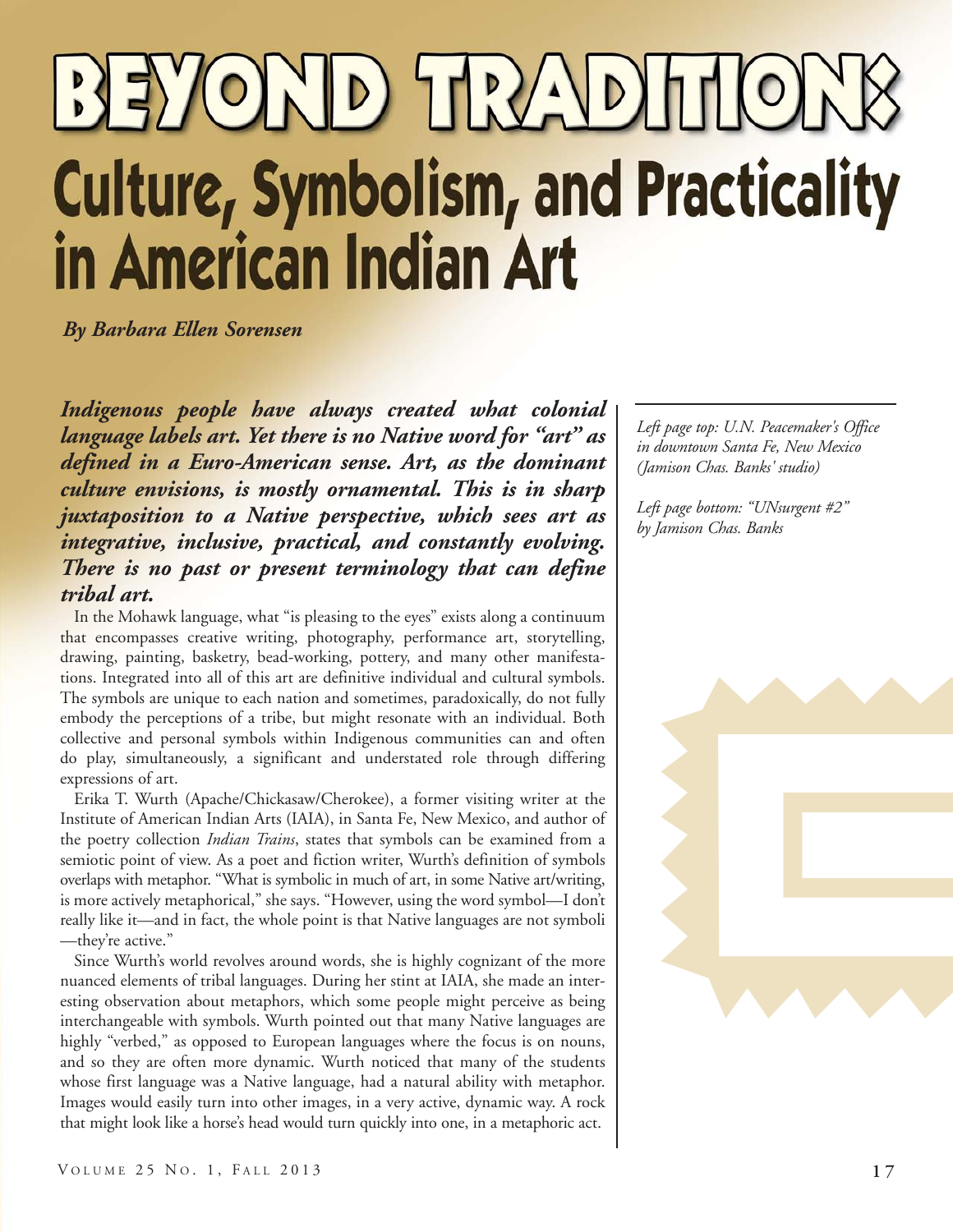## BEYOND TRAD Culture, Symbolism, and Practicality<br>in American Indian Art

*By Barbara Ellen Sorensen*

*Indigenous people have always created what colonial language labels art. Yet there is no Native word for "art" as defined in a Euro-American sense. Art, as the dominant culture envisions, is mostly ornamental. This is in sharp juxtaposition to a Native perspective, which sees art as integrative, inclusive, practical, and constantly evolving. There is no past or present terminology that can define tribal art.* 

In the Mohawk language, what "is pleasing to the eyes" exists along a continuum that encompasses creative writing, photography, performance art, storytelling, drawing, painting, basketry, bead-working, pottery, and many other manifestations. Integrated into all of this art are definitive individual and cultural symbols. The symbols are unique to each nation and sometimes, paradoxically, do not fully embody the perceptions of a tribe, but might resonate with an individual. Both collective and personal symbols within Indigenous communities can and often do play, simultaneously, a significant and understated role through differing expressions of art.

Erika T. Wurth (Apache/Chickasaw/Cherokee), a former visiting writer at the Institute of American Indian Arts (IAIA), in Santa Fe, New Mexico, and author of the poetry collection *Indian Trains*, states that symbols can be examined from a semiotic point of view. As a poet and fiction writer, Wurth's definition of symbols overlaps with metaphor. "What is symbolic in much of art, in some Native art/writing, is more actively metaphorical," she says. "However, using the word symbol—I don't really like it—and in fact, the whole point is that Native languages are not symboli —they're active."

Since Wurth's world revolves around words, she is highly cognizant of the more nuanced elements of tribal languages. During her stint at IAIA, she made an interesting observation about metaphors, which some people might perceive as being interchangeable with symbols. Wurth pointed out that many Native languages are highly "verbed," as opposed to European languages where the focus is on nouns, and so they are often more dynamic. Wurth noticed that many of the students whose first language was a Native language, had a natural ability with metaphor. Images would easily turn into other images, in a very active, dynamic way. A rock that might look like a horse's head would turn quickly into one, in a metaphoric act.

*Left page top: U.N. Peacemaker's Office in downtown Santa Fe, New Mexico (Jamison Chas. Banks' studio)* 

*Left page bottom: "UNsurgent #2" by Jamison Chas. Banks*

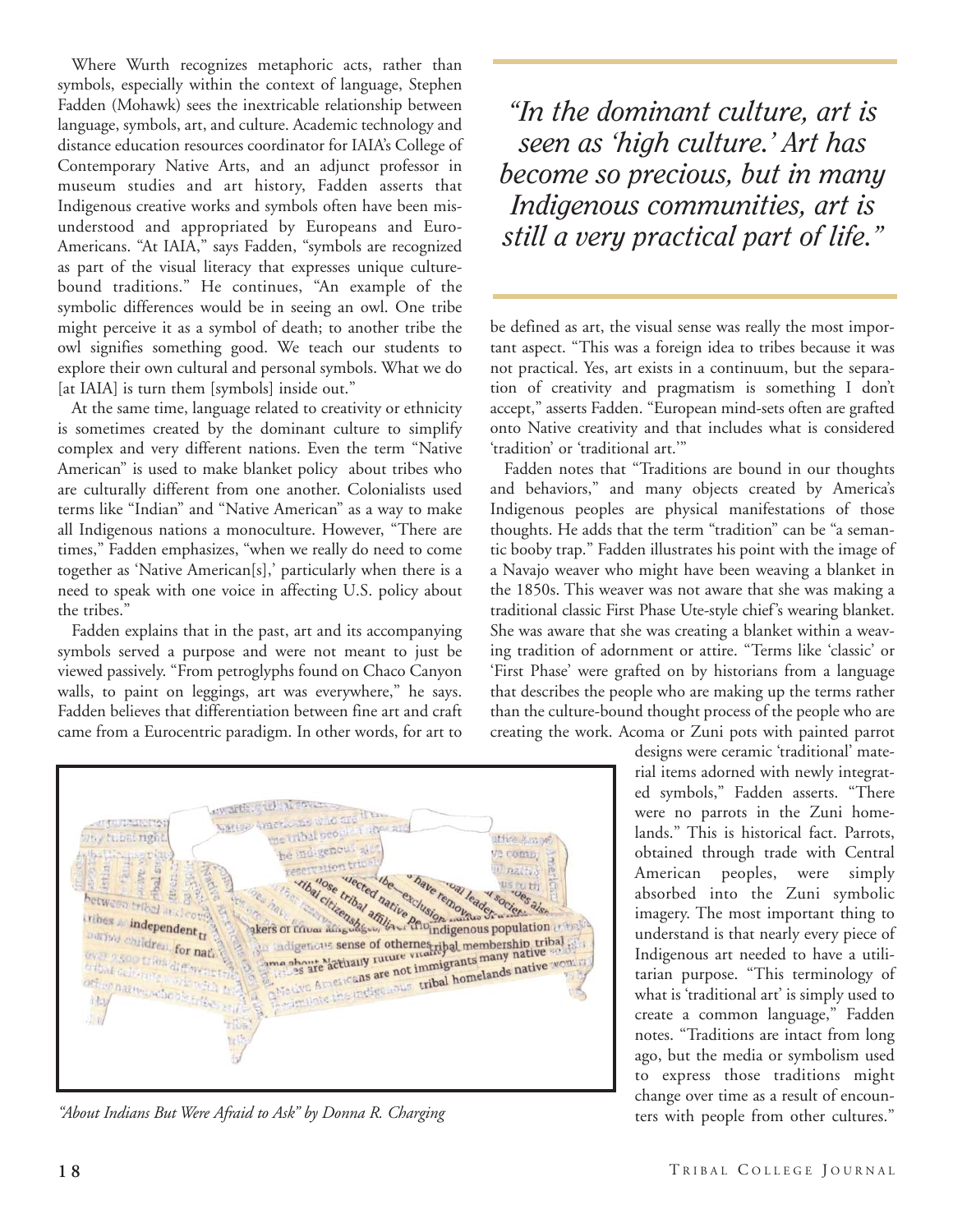Where Wurth recognizes metaphoric acts, rather than symbols, especially within the context of language, Stephen Fadden (Mohawk) sees the inextricable relationship between language, symbols, art, and culture. Academic technology and distance education resources coordinator for IAIA's College of Contemporary Native Arts, and an adjunct professor in museum studies and art history, Fadden asserts that Indigenous creative works and symbols often have been misunderstood and appropriated by Europeans and Euro-Americans. "At IAIA," says Fadden, "symbols are recognized as part of the visual literacy that expresses unique culturebound traditions." He continues, "An example of the symbolic differences would be in seeing an owl. One tribe might perceive it as a symbol of death; to another tribe the owl signifies something good. We teach our students to explore their own cultural and personal symbols. What we do [at IAIA] is turn them [symbols] inside out."

At the same time, language related to creativity or ethnicity is sometimes created by the dominant culture to simplify complex and very different nations. Even the term "Native American" is used to make blanket policy about tribes who are culturally different from one another. Colonialists used terms like "Indian" and "Native American" as a way to make all Indigenous nations a monoculture. However, "There are times," Fadden emphasizes, "when we really do need to come together as 'Native American[s],' particularly when there is a need to speak with one voice in affecting U.S. policy about the tribes."

Fadden explains that in the past, art and its accompanying symbols served a purpose and were not meant to just be viewed passively. "From petroglyphs found on Chaco Canyon walls, to paint on leggings, art was everywhere," he says. Fadden believes that differentiation between fine art and craft came from a Eurocentric paradigm. In other words, for art to

*"In the dominant culture, art is seen as 'high culture.' Art has become so precious, but in many Indigenous communities, art is still a very practical part of life."*

be defined as art, the visual sense was really the most important aspect. "This was a foreign idea to tribes because it was not practical. Yes, art exists in a continuum, but the separation of creativity and pragmatism is something I don't accept," asserts Fadden. "European mind-sets often are grafted onto Native creativity and that includes what is considered 'tradition' or 'traditional art.'"

Fadden notes that "Traditions are bound in our thoughts and behaviors," and many objects created by America's Indigenous peoples are physical manifestations of those thoughts. He adds that the term "tradition" can be "a semantic booby trap." Fadden illustrates his point with the image of a Navajo weaver who might have been weaving a blanket in the 1850s. This weaver was not aware that she was making a traditional classic First Phase Ute-style chief's wearing blanket. She was aware that she was creating a blanket within a weaving tradition of adornment or attire. "Terms like 'classic' or 'First Phase' were grafted on by historians from a language that describes the people who are making up the terms rather than the culture-bound thought process of the people who are creating the work. Acoma or Zuni pots with painted parrot



*"About Indians But Were Afraid to Ask" by Donna R. Charging*

designs were ceramic 'traditional' material items adorned with newly integrated symbols," Fadden asserts. "There were no parrots in the Zuni homelands." This is historical fact. Parrots, obtained through trade with Central American peoples, were simply absorbed into the Zuni symbolic imagery. The most important thing to understand is that nearly every piece of Indigenous art needed to have a utilitarian purpose. "This terminology of what is 'traditional art' is simply used to create a common language," Fadden notes. "Traditions are intact from long ago, but the media or symbolism used to express those traditions might change over time as a result of encounters with people from other cultures."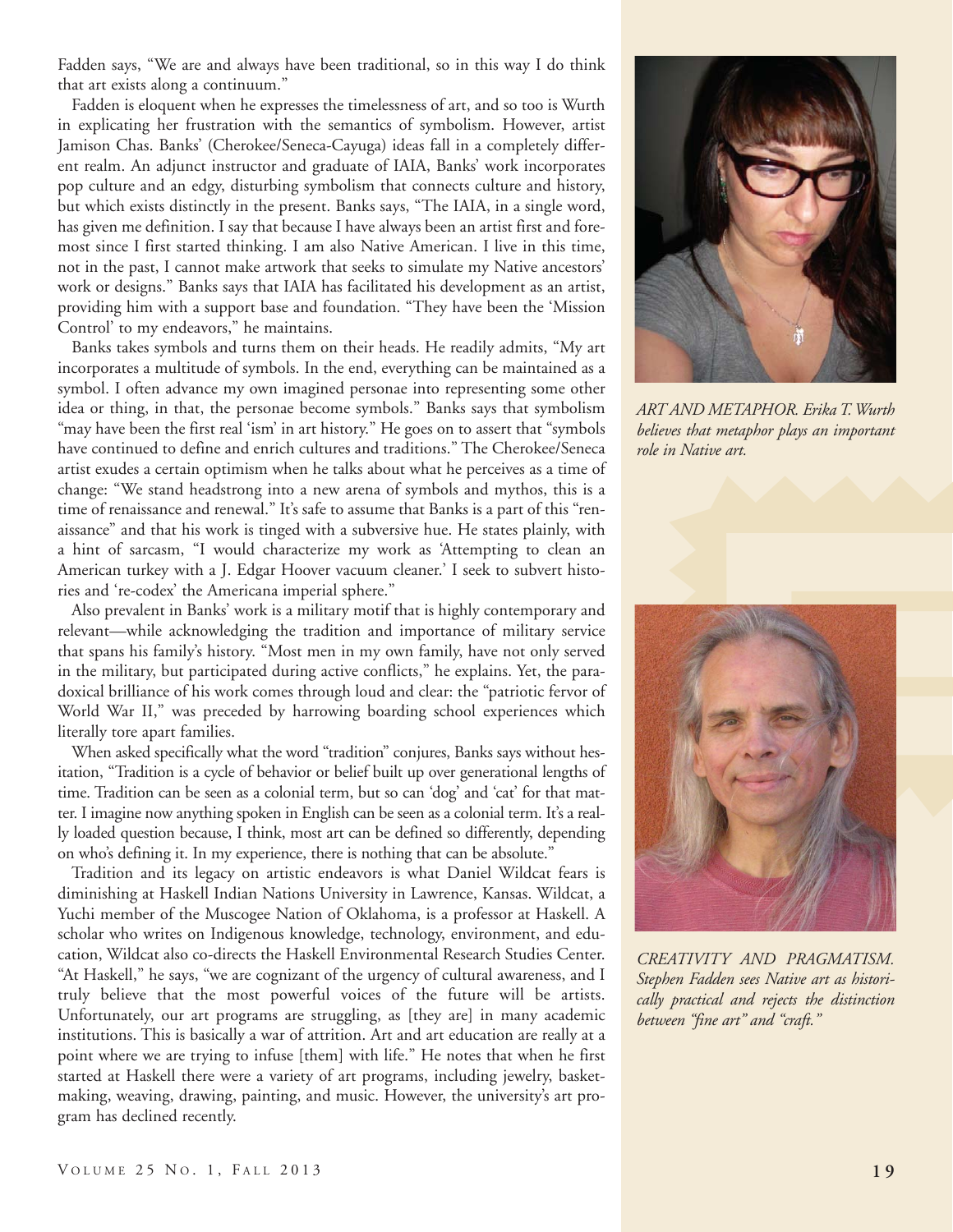Fadden says, "We are and always have been traditional, so in this way I do think that art exists along a continuum."

Fadden is eloquent when he expresses the timelessness of art, and so too is Wurth in explicating her frustration with the semantics of symbolism. However, artist Jamison Chas. Banks' (Cherokee/Seneca-Cayuga) ideas fall in a completely different realm. An adjunct instructor and graduate of IAIA, Banks' work incorporates pop culture and an edgy, disturbing symbolism that connects culture and history, but which exists distinctly in the present. Banks says, "The IAIA, in a single word, has given me definition. I say that because I have always been an artist first and foremost since I first started thinking. I am also Native American. I live in this time, not in the past, I cannot make artwork that seeks to simulate my Native ancestors' work or designs." Banks says that IAIA has facilitated his development as an artist, providing him with a support base and foundation. "They have been the 'Mission Control' to my endeavors," he maintains.

Banks takes symbols and turns them on their heads. He readily admits, "My art incorporates a multitude of symbols. In the end, everything can be maintained as a symbol. I often advance my own imagined personae into representing some other idea or thing, in that, the personae become symbols." Banks says that symbolism "may have been the first real 'ism' in art history." He goes on to assert that "symbols have continued to define and enrich cultures and traditions." The Cherokee/Seneca artist exudes a certain optimism when he talks about what he perceives as a time of change: "We stand headstrong into a new arena of symbols and mythos, this is a time of renaissance and renewal." It's safe to assume that Banks is a part of this "renaissance" and that his work is tinged with a subversive hue. He states plainly, with a hint of sarcasm, "I would characterize my work as 'Attempting to clean an American turkey with a J. Edgar Hoover vacuum cleaner.' I seek to subvert histories and 're-codex' the Americana imperial sphere."

Also prevalent in Banks' work is a military motif that is highly contemporary and relevant—while acknowledging the tradition and importance of military service that spans his family's history. "Most men in my own family, have not only served in the military, but participated during active conflicts," he explains. Yet, the paradoxical brilliance of his work comes through loud and clear: the "patriotic fervor of World War II," was preceded by harrowing boarding school experiences which literally tore apart families.

When asked specifically what the word "tradition" conjures, Banks says without hesitation, "Tradition is a cycle of behavior or belief built up over generational lengths of time. Tradition can be seen as a colonial term, but so can 'dog' and 'cat' for that matter. I imagine now anything spoken in English can be seen as a colonial term. It's a really loaded question because, I think, most art can be defined so differently, depending on who's defining it. In my experience, there is nothing that can be absolute."

Tradition and its legacy on artistic endeavors is what Daniel Wildcat fears is diminishing at Haskell Indian Nations University in Lawrence, Kansas. Wildcat, a Yuchi member of the Muscogee Nation of Oklahoma, is a professor at Haskell. A scholar who writes on Indigenous knowledge, technology, environment, and education, Wildcat also co-directs the Haskell Environmental Research Studies Center. "At Haskell," he says, "we are cognizant of the urgency of cultural awareness, and I truly believe that the most powerful voices of the future will be artists. Unfortunately, our art programs are struggling, as [they are] in many academic institutions. This is basically a war of attrition. Art and art education are really at a point where we are trying to infuse [them] with life." He notes that when he first started at Haskell there were a variety of art programs, including jewelry, basketmaking, weaving, drawing, painting, and music. However, the university's art program has declined recently.



*ART AND METAPHOR. Erika T. Wurth believes that metaphor plays an important role in Native art.*



*CREATIVITY AND PRAGMATISM. Stephen Fadden sees Native art as historically practical and rejects the distinction between "fine art" and "craft."*